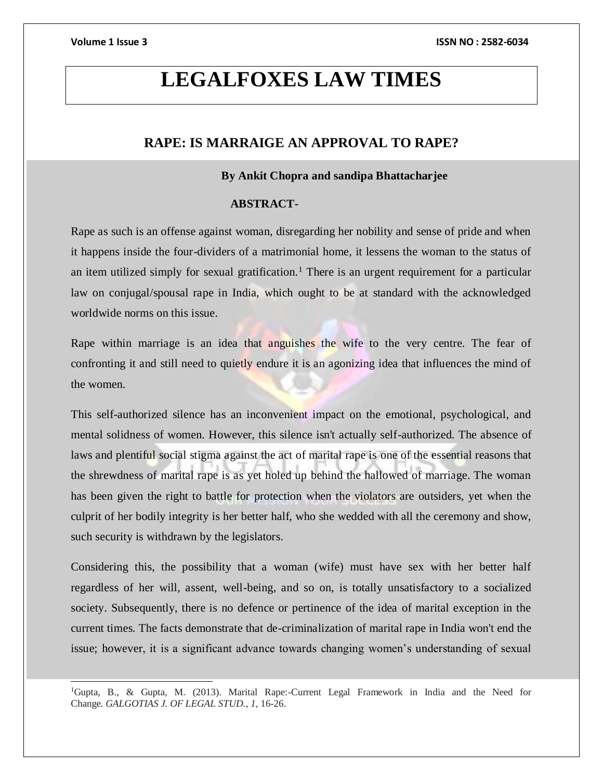l

# **LEGALFOXES LAW TIMES**

## **RAPE: IS MARRAIGE AN APPROVAL TO RAPE?**

## **By Ankit Chopra and sandipa Bhattacharjee**

## **ABSTRACT-**

Rape as such is an offense against woman, disregarding her nobility and sense of pride and when it happens inside the four-dividers of a matrimonial home, it lessens the woman to the status of an item utilized simply for sexual gratification.<sup>1</sup> There is an urgent requirement for a particular law on conjugal/spousal rape in India, which ought to be at standard with the acknowledged worldwide norms on this issue.

Rape within marriage is an idea that anguishes the wife to the very centre. The fear of confronting it and still need to quietly endure it is an agonizing idea that influences the mind of the women.

This self-authorized silence has an inconvenient impact on the emotional, psychological, and mental solidness of women. However, this silence isn't actually self-authorized. The absence of laws and plentiful social stigma against the act of marital rape is one of the essential reasons that the shrewdness of marital rape is as yet holed up behind the hallowed of marriage. The woman has been given the right to battle for protection when the violators are outsiders, yet when the culprit of her bodily integrity is her better half, who she wedded with all the ceremony and show, such security is withdrawn by the legislators.

Considering this, the possibility that a woman (wife) must have sex with her better half regardless of her will, assent, well-being, and so on, is totally unsatisfactory to a socialized society. Subsequently, there is no defence or pertinence of the idea of marital exception in the current times. The facts demonstrate that de-criminalization of marital rape in India won't end the issue; however, it is a significant advance towards changing women's understanding of sexual

<sup>1</sup>Gupta, B., & Gupta, M. (2013). Marital Rape:-Current Legal Framework in India and the Need for Change. *GALGOTIAS J. OF LEGAL STUD.*, *1*, 16-26.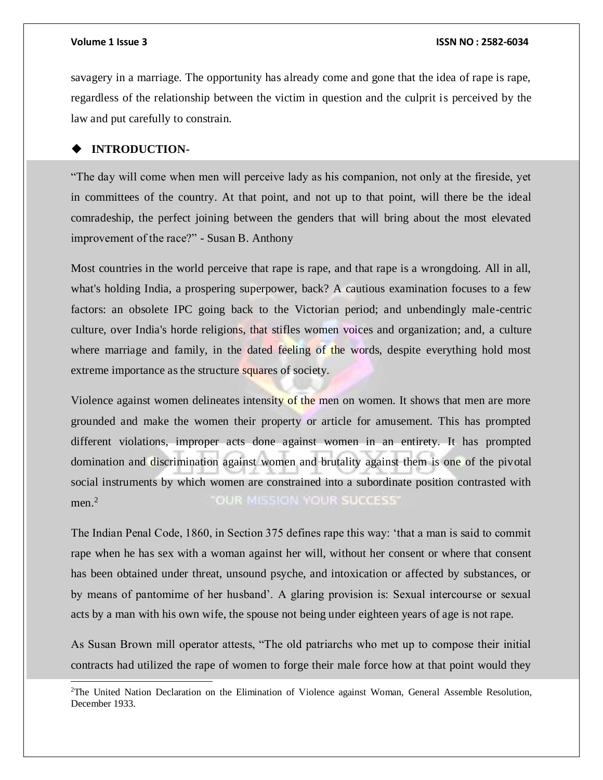l

savagery in a marriage. The opportunity has already come and gone that the idea of rape is rape, regardless of the relationship between the victim in question and the culprit is perceived by the law and put carefully to constrain.

## **INTRODUCTION-**

"The day will come when men will perceive lady as his companion, not only at the fireside, yet in committees of the country. At that point, and not up to that point, will there be the ideal comradeship, the perfect joining between the genders that will bring about the most elevated improvement of the race?" - Susan B. Anthony

Most countries in the world perceive that rape is rape, and that rape is a wrongdoing. All in all, what's holding India, a prospering superpower, back? A cautious examination focuses to a few factors: an obsolete IPC going back to the Victorian period; and unbendingly male-centric culture, over India's horde religions, that stifles women voices and organization; and, a culture where marriage and family, in the dated feeling of the words, despite everything hold most extreme importance as the structure squares of society.

Violence against women delineates intensity of the men on women. It shows that men are more grounded and make the women their property or article for amusement. This has prompted different violations, improper acts done against women in an entirety. It has prompted domination and discrimination against women and brutality against them is one of the pivotal social instruments by which women are constrained into a subordinate position contrasted with OUR MISSION YOUR SUCCESS" men.<sup>2</sup>

The Indian Penal Code, 1860, in Section 375 defines rape this way: 'that a man is said to commit rape when he has sex with a woman against her will, without her consent or where that consent has been obtained under threat, unsound psyche, and intoxication or affected by substances, or by means of pantomime of her husband'. A glaring provision is: Sexual intercourse or sexual acts by a man with his own wife, the spouse not being under eighteen years of age is not rape.

As Susan Brown mill operator attests, "The old patriarchs who met up to compose their initial contracts had utilized the rape of women to forge their male force how at that point would they

<sup>2</sup>The United Nation Declaration on the Elimination of Violence against Woman, General Assemble Resolution, December 1933.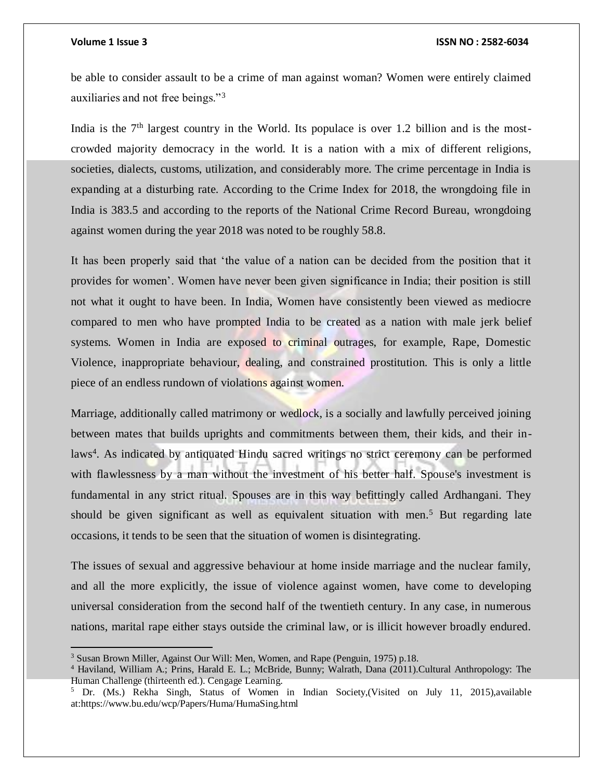$\overline{a}$ 

### **Volume 1 Issue 3 ISSN NO : 2582-6034**

be able to consider assault to be a crime of man against woman? Women were entirely claimed auxiliaries and not free beings."<sup>3</sup>

India is the  $7<sup>th</sup>$  largest country in the World. Its populace is over 1.2 billion and is the mostcrowded majority democracy in the world. It is a nation with a mix of different religions, societies, dialects, customs, utilization, and considerably more. The crime percentage in India is expanding at a disturbing rate. According to the Crime Index for 2018, the wrongdoing file in India is 383.5 and according to the reports of the National Crime Record Bureau, wrongdoing against women during the year 2018 was noted to be roughly 58.8.

It has been properly said that 'the value of a nation can be decided from the position that it provides for women'. Women have never been given significance in India; their position is still not what it ought to have been. In India, Women have consistently been viewed as mediocre compared to men who have prompted India to be created as a nation with male jerk belief systems. Women in India are exposed to criminal outrages, for example, Rape, Domestic Violence, inappropriate behaviour, dealing, and constrained prostitution. This is only a little piece of an endless rundown of violations against women.

Marriage, additionally called matrimony or wedlock, is a socially and lawfully perceived joining between mates that builds uprights and commitments between them, their kids, and their inlaws<sup>4</sup>. As indicated by antiquated Hindu sacred writings no strict ceremony can be performed with flawlessness by a man without the investment of his better half. Spouse's investment is fundamental in any strict ritual. Spouses are in this way befittingly called Ardhangani. They should be given significant as well as equivalent situation with men.<sup>5</sup> But regarding late occasions, it tends to be seen that the situation of women is disintegrating.

The issues of sexual and aggressive behaviour at home inside marriage and the nuclear family, and all the more explicitly, the issue of violence against women, have come to developing universal consideration from the second half of the twentieth century. In any case, in numerous nations, marital rape either stays outside the criminal law, or is illicit however broadly endured.

<sup>3</sup> Susan Brown Miller, Against Our Will: Men, Women, and Rape (Penguin, 1975) p.18.

<sup>4</sup> Haviland, William A.; Prins, Harald E. L.; McBride, Bunny; Walrath, Dana (2011).Cultural Anthropology: The Human Challenge (thirteenth ed.). Cengage Learning.

<sup>&</sup>lt;sup>5</sup> Dr. (Ms.) Rekha Singh, Status of Women in Indian Society, (Visited on July 11, 2015), available at:https://www.bu.edu/wcp/Papers/Huma/HumaSing.html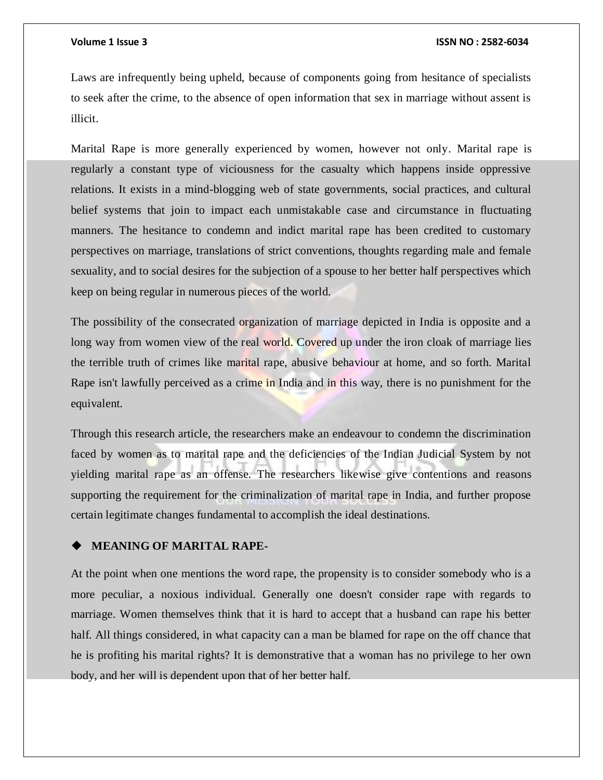Laws are infrequently being upheld, because of components going from hesitance of specialists to seek after the crime, to the absence of open information that sex in marriage without assent is illicit.

Marital Rape is more generally experienced by women, however not only. Marital rape is regularly a constant type of viciousness for the casualty which happens inside oppressive relations. It exists in a mind-blogging web of state governments, social practices, and cultural belief systems that join to impact each unmistakable case and circumstance in fluctuating manners. The hesitance to condemn and indict marital rape has been credited to customary perspectives on marriage, translations of strict conventions, thoughts regarding male and female sexuality, and to social desires for the subjection of a spouse to her better half perspectives which keep on being regular in numerous pieces of the world.

The possibility of the consecrated organization of marriage depicted in India is opposite and a long way from women view of the real world. Covered up under the iron cloak of marriage lies the terrible truth of crimes like marital rape, abusive behaviour at home, and so forth. Marital Rape isn't lawfully perceived as a crime in India and in this way, there is no punishment for the equivalent.

Through this research article, the researchers make an endeavour to condemn the discrimination faced by women as to marital rape and the deficiencies of the Indian Judicial System by not yielding marital rape as an offense. The researchers likewise give contentions and reasons supporting the requirement for the criminalization of marital rape in India, and further propose certain legitimate changes fundamental to accomplish the ideal destinations.

## **MEANING OF MARITAL RAPE-**

At the point when one mentions the word rape, the propensity is to consider somebody who is a more peculiar, a noxious individual. Generally one doesn't consider rape with regards to marriage. Women themselves think that it is hard to accept that a husband can rape his better half. All things considered, in what capacity can a man be blamed for rape on the off chance that he is profiting his marital rights? It is demonstrative that a woman has no privilege to her own body, and her will is dependent upon that of her better half.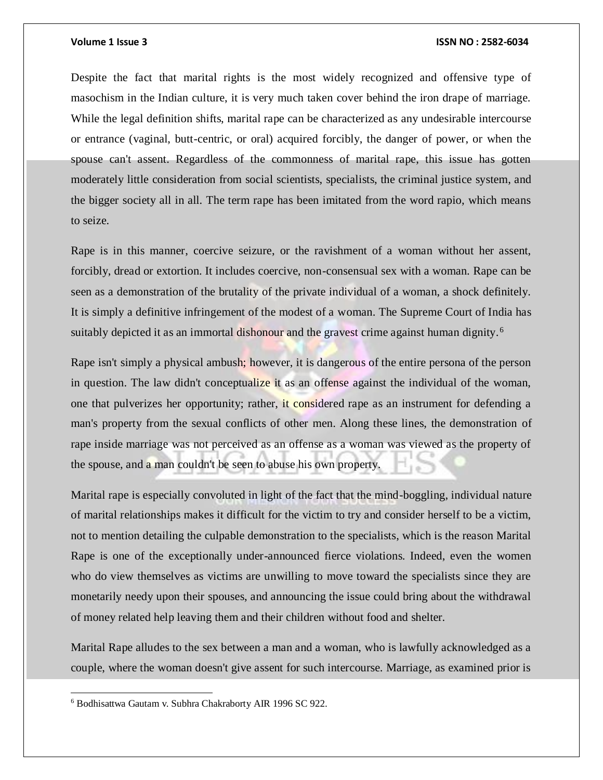Despite the fact that marital rights is the most widely recognized and offensive type of masochism in the Indian culture, it is very much taken cover behind the iron drape of marriage. While the legal definition shifts, marital rape can be characterized as any undesirable intercourse or entrance (vaginal, butt-centric, or oral) acquired forcibly, the danger of power, or when the spouse can't assent. Regardless of the commonness of marital rape, this issue has gotten moderately little consideration from social scientists, specialists, the criminal justice system, and the bigger society all in all. The term rape has been imitated from the word rapio, which means to seize.

Rape is in this manner, coercive seizure, or the ravishment of a woman without her assent, forcibly, dread or extortion. It includes coercive, non-consensual sex with a woman. Rape can be seen as a demonstration of the brutality of the private individual of a woman, a shock definitely. It is simply a definitive infringement of the modest of a woman. The Supreme Court of India has suitably depicted it as an immortal dishonour and the gravest crime against human dignity.<sup>6</sup>

Rape isn't simply a physical ambush; however, it is dangerous of the entire persona of the person in question. The law didn't conceptualize it as an offense against the individual of the woman, one that pulverizes her opportunity; rather, it considered rape as an instrument for defending a man's property from the sexual conflicts of other men. Along these lines, the demonstration of rape inside marriage was not perceived as an offense as a woman was viewed as the property of the spouse, and a man couldn't be seen to abuse his own property.

Marital rape is especially convoluted in light of the fact that the mind-boggling, individual nature of marital relationships makes it difficult for the victim to try and consider herself to be a victim, not to mention detailing the culpable demonstration to the specialists, which is the reason Marital Rape is one of the exceptionally under-announced fierce violations. Indeed, even the women who do view themselves as victims are unwilling to move toward the specialists since they are monetarily needy upon their spouses, and announcing the issue could bring about the withdrawal of money related help leaving them and their children without food and shelter.

Marital Rape alludes to the sex between a man and a woman, who is lawfully acknowledged as a couple, where the woman doesn't give assent for such intercourse. Marriage, as examined prior is

 $\overline{\phantom{a}}$ 

<sup>6</sup> Bodhisattwa Gautam v. Subhra Chakraborty AIR 1996 SC 922.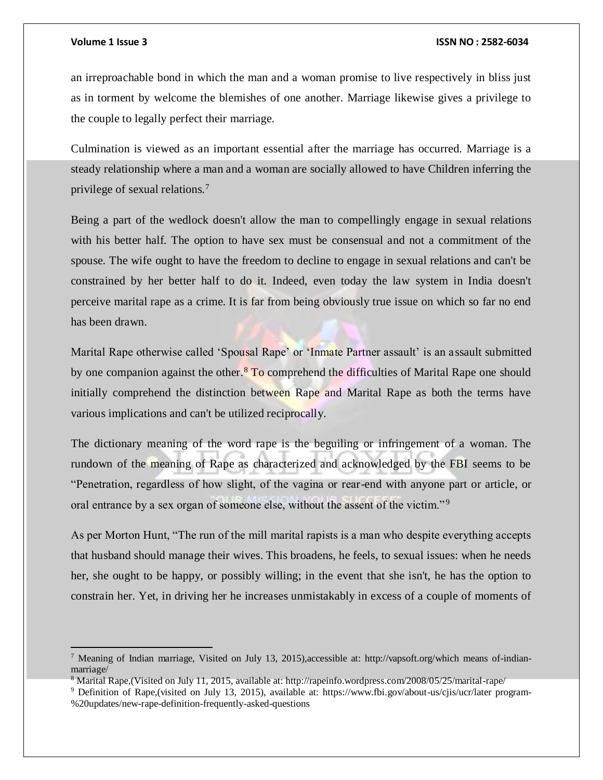$\overline{a}$ 

### **Volume 1 Issue 3 ISSN NO : 2582-6034**

an irreproachable bond in which the man and a woman promise to live respectively in bliss just as in torment by welcome the blemishes of one another. Marriage likewise gives a privilege to the couple to legally perfect their marriage.

Culmination is viewed as an important essential after the marriage has occurred. Marriage is a steady relationship where a man and a woman are socially allowed to have Children inferring the privilege of sexual relations.<sup>7</sup>

Being a part of the wedlock doesn't allow the man to compellingly engage in sexual relations with his better half. The option to have sex must be consensual and not a commitment of the spouse. The wife ought to have the freedom to decline to engage in sexual relations and can't be constrained by her better half to do it. Indeed, even today the law system in India doesn't perceive marital rape as a crime. It is far from being obviously true issue on which so far no end has been drawn.

Marital Rape otherwise called 'Spousal Rape' or 'Inmate Partner assault' is an assault submitted by one companion against the other.<sup>8</sup> To comprehend the difficulties of Marital Rape one should initially comprehend the distinction between Rape and Marital Rape as both the terms have various implications and can't be utilized reciprocally.

The dictionary meaning of the word rape is the beguiling or infringement of a woman. The rundown of the meaning of Rape as characterized and acknowledged by the FBI seems to be "Penetration, regardless of how slight, of the vagina or rear-end with anyone part or article, or oral entrance by a sex organ of someone else, without the assent of the victim."<sup>9</sup>

As per Morton Hunt, "The run of the mill marital rapists is a man who despite everything accepts that husband should manage their wives. This broadens, he feels, to sexual issues: when he needs her, she ought to be happy, or possibly willing; in the event that she isn't, he has the option to constrain her. Yet, in driving her he increases unmistakably in excess of a couple of moments of

<sup>&</sup>lt;sup>7</sup> Meaning of Indian marriage, Visited on July 13, 2015), accessible at: http://vapsoft.org/which means of-indianmarriage/

<sup>8</sup> Marital Rape,(Visited on July 11, 2015, available at: http://rapeinfo.wordpress.com/2008/05/25/marital-rape/

<sup>9</sup> Definition of Rape,(visited on July 13, 2015), available at: https://www.fbi.gov/about-us/cjis/ucr/later program- %20updates/new-rape-definition-frequently-asked-questions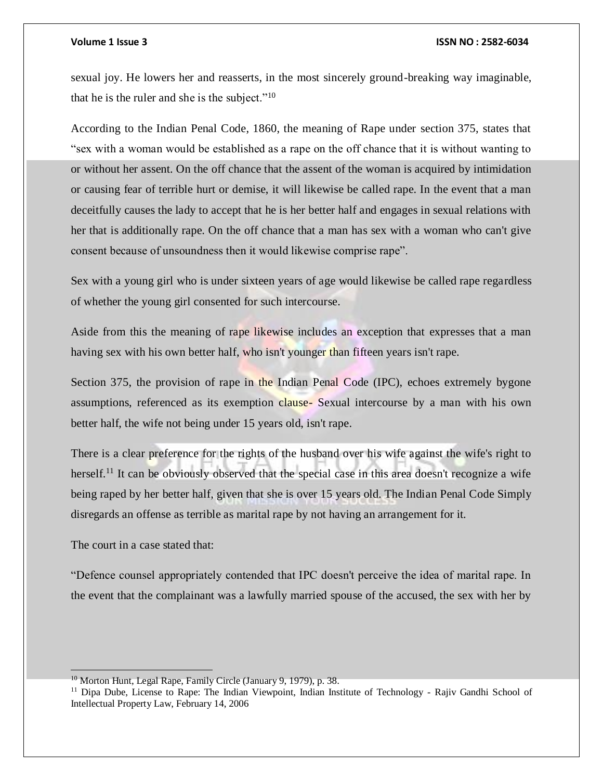sexual joy. He lowers her and reasserts, in the most sincerely ground-breaking way imaginable, that he is the ruler and she is the subject."<sup>10</sup>

According to the Indian Penal Code, 1860, the meaning of Rape under section 375, states that "sex with a woman would be established as a rape on the off chance that it is without wanting to or without her assent. On the off chance that the assent of the woman is acquired by intimidation or causing fear of terrible hurt or demise, it will likewise be called rape. In the event that a man deceitfully causes the lady to accept that he is her better half and engages in sexual relations with her that is additionally rape. On the off chance that a man has sex with a woman who can't give consent because of unsoundness then it would likewise comprise rape".

Sex with a young girl who is under sixteen years of age would likewise be called rape regardless of whether the young girl consented for such intercourse.

Aside from this the meaning of rape likewise includes an exception that expresses that a man having sex with his own better half, who isn't younger than fifteen years isn't rape.

Section 375, the provision of rape in the Indian Penal Code (IPC), echoes extremely bygone assumptions, referenced as its exemption clause- Sexual intercourse by a man with his own better half, the wife not being under 15 years old, isn't rape.

There is a clear preference for the rights of the husband over his wife against the wife's right to herself.<sup>11</sup> It can be obviously observed that the special case in this area doesn't recognize a wife being raped by her better half, given that she is over 15 years old. The Indian Penal Code Simply disregards an offense as terrible as marital rape by not having an arrangement for it.

The court in a case stated that:

"Defence counsel appropriately contended that IPC doesn't perceive the idea of marital rape. In the event that the complainant was a lawfully married spouse of the accused, the sex with her by

 $10$  Morton Hunt, Legal Rape, Family Circle (January 9, 1979), p. 38.

<sup>&</sup>lt;sup>11</sup> Dipa Dube, License to Rape: The Indian Viewpoint, Indian Institute of Technology - Rajiv Gandhi School of Intellectual Property Law, February 14, 2006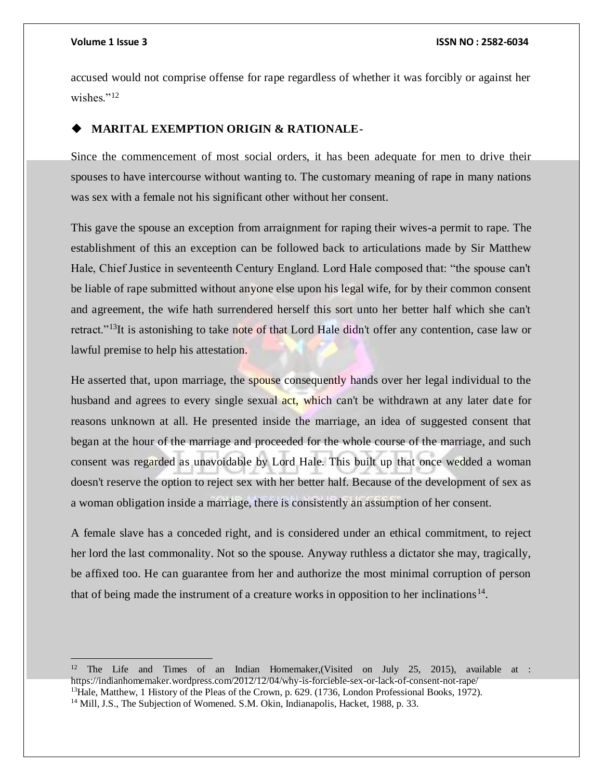### **Volume 1 Issue 3 ISSN NO : 2582-6034**

accused would not comprise offense for rape regardless of whether it was forcibly or against her wishes."<sup>12</sup>

## **MARITAL EXEMPTION ORIGIN & RATIONALE-**

Since the commencement of most social orders, it has been adequate for men to drive their spouses to have intercourse without wanting to. The customary meaning of rape in many nations was sex with a female not his significant other without her consent.

This gave the spouse an exception from arraignment for raping their wives-a permit to rape. The establishment of this an exception can be followed back to articulations made by Sir Matthew Hale, Chief Justice in seventeenth Century England. Lord Hale composed that: "the spouse can't be liable of rape submitted without anyone else upon his legal wife, for by their common consent and agreement, the wife hath surrendered herself this sort unto her better half which she can't retract."<sup>13</sup>It is astonishing to take note of that Lord Hale didn't offer any contention, case law or lawful premise to help his attestation.

He asserted that, upon marriage, the spouse consequently hands over her legal individual to the husband and agrees to every single sexual act, which can't be withdrawn at any later date for reasons unknown at all. He presented inside the marriage, an idea of suggested consent that began at the hour of the marriage and proceeded for the whole course of the marriage, and such consent was regarded as unavoidable by Lord Hale. This built up that once wedded a woman doesn't reserve the option to reject sex with her better half. Because of the development of sex as a woman obligation inside a marriage, there is consistently an assumption of her consent.

A female slave has a conceded right, and is considered under an ethical commitment, to reject her lord the last commonality. Not so the spouse. Anyway ruthless a dictator she may, tragically, be affixed too. He can guarantee from her and authorize the most minimal corruption of person that of being made the instrument of a creature works in opposition to her inclinations<sup>14</sup>.

<sup>&</sup>lt;sup>12</sup> The Life and Times of an Indian Homemaker, (Visited on July 25, 2015), available at : https://indianhomemaker.wordpress.com/2012/12/04/why-is-forcieble-sex-or-lack-of-consent-not-rape/ <sup>13</sup>Hale, Matthew, 1 History of the Pleas of the Crown, p. 629. (1736, London Professional Books, 1972). <sup>14</sup> Mill, J.S., The Subjection of Womened. S.M. Okin, Indianapolis, Hacket, 1988, p. 33.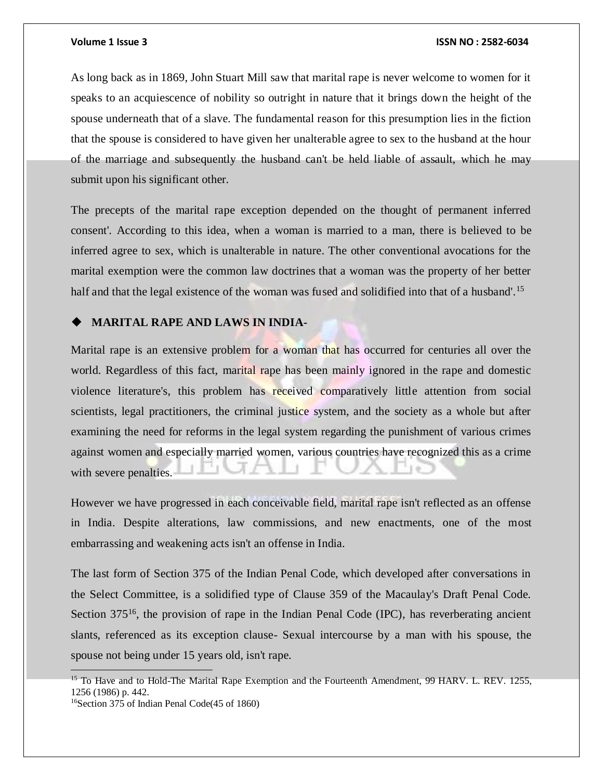As long back as in 1869, John Stuart Mill saw that marital rape is never welcome to women for it speaks to an acquiescence of nobility so outright in nature that it brings down the height of the spouse underneath that of a slave. The fundamental reason for this presumption lies in the fiction that the spouse is considered to have given her unalterable agree to sex to the husband at the hour of the marriage and subsequently the husband can't be held liable of assault, which he may submit upon his significant other.

The precepts of the marital rape exception depended on the thought of permanent inferred consent'. According to this idea, when a woman is married to a man, there is believed to be inferred agree to sex, which is unalterable in nature. The other conventional avocations for the marital exemption were the common law doctrines that a woman was the property of her better half and that the legal existence of the woman was fused and solidified into that of a husband'.<sup>15</sup>

## **MARITAL RAPE AND LAWS IN INDIA-**

Marital rape is an extensive problem for a woman that has occurred for centuries all over the world. Regardless of this fact, marital rape has been mainly ignored in the rape and domestic violence literature's, this problem has received comparatively little attention from social scientists, legal practitioners, the criminal justice system, and the society as a whole but after examining the need for reforms in the legal system regarding the punishment of various crimes against women and especially married women, various countries have recognized this as a crime with severe penalties.

However we have progressed in each conceivable field, marital rape isn't reflected as an offense in India. Despite alterations, law commissions, and new enactments, one of the most embarrassing and weakening acts isn't an offense in India.

The last form of Section 375 of the Indian Penal Code, which developed after conversations in the Select Committee, is a solidified type of Clause 359 of the Macaulay's Draft Penal Code. Section 375<sup>16</sup>, the provision of rape in the Indian Penal Code (IPC), has reverberating ancient slants, referenced as its exception clause- Sexual intercourse by a man with his spouse, the spouse not being under 15 years old, isn't rape.

<sup>&</sup>lt;sup>15</sup> To Have and to Hold-The Marital Rape Exemption and the Fourteenth Amendment, 99 HARV. L. REV. 1255, 1256 (1986) p. 442.

<sup>16</sup>Section 375 of Indian Penal Code(45 of 1860)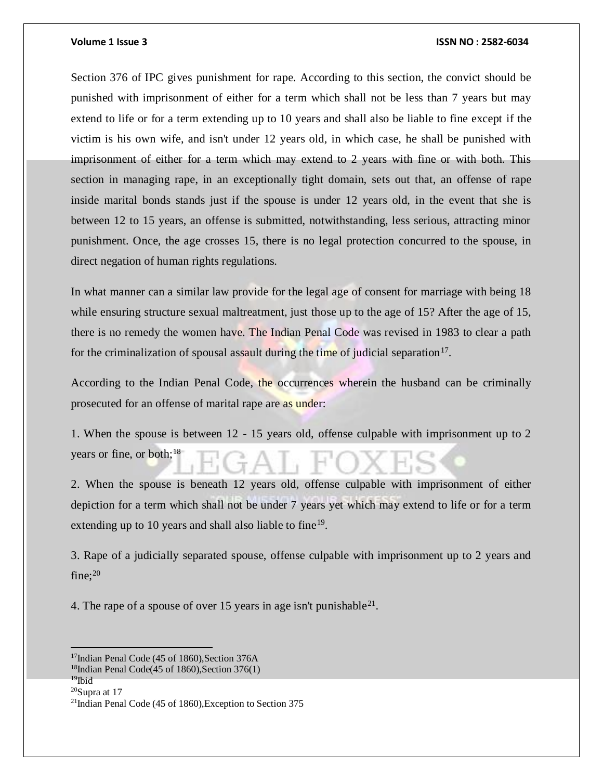Section 376 of IPC gives punishment for rape. According to this section, the convict should be punished with imprisonment of either for a term which shall not be less than 7 years but may extend to life or for a term extending up to 10 years and shall also be liable to fine except if the victim is his own wife, and isn't under 12 years old, in which case, he shall be punished with imprisonment of either for a term which may extend to 2 years with fine or with both. This section in managing rape, in an exceptionally tight domain, sets out that, an offense of rape inside marital bonds stands just if the spouse is under 12 years old, in the event that she is between 12 to 15 years, an offense is submitted, notwithstanding, less serious, attracting minor punishment. Once, the age crosses 15, there is no legal protection concurred to the spouse, in direct negation of human rights regulations.

In what manner can a similar law provide for the legal age of consent for marriage with being 18 while ensuring structure sexual maltreatment, just those up to the age of 15? After the age of 15, there is no remedy the women have. The Indian Penal Code was revised in 1983 to clear a path for the criminalization of spousal assault during the time of judicial separation<sup>17</sup>.

According to the Indian Penal Code, the occurrences wherein the husband can be criminally prosecuted for an offense of marital rape are as under:

1. When the spouse is between 12 - 15 years old, offense culpable with imprisonment up to 2 years or fine, or both; $18$ 

2. When the spouse is beneath 12 years old, offense culpable with imprisonment of either depiction for a term which shall not be under 7 years yet which may extend to life or for a term extending up to 10 years and shall also liable to fine<sup>19</sup>.

3. Rape of a judicially separated spouse, offense culpable with imprisonment up to 2 years and fine;<sup>20</sup>

4. The rape of a spouse of over 15 years in age isn't punishable<sup>21</sup>.

 $\overline{a}$ 

<sup>&</sup>lt;sup>17</sup>Indian Penal Code (45 of 1860), Section 376A

 $18$ Indian Penal Code(45 of 1860), Section 376(1)

<sup>&</sup>lt;sup>19</sup>Ibid

 $20$ Supra at 17

<sup>21</sup>Indian Penal Code (45 of 1860),Exception to Section 375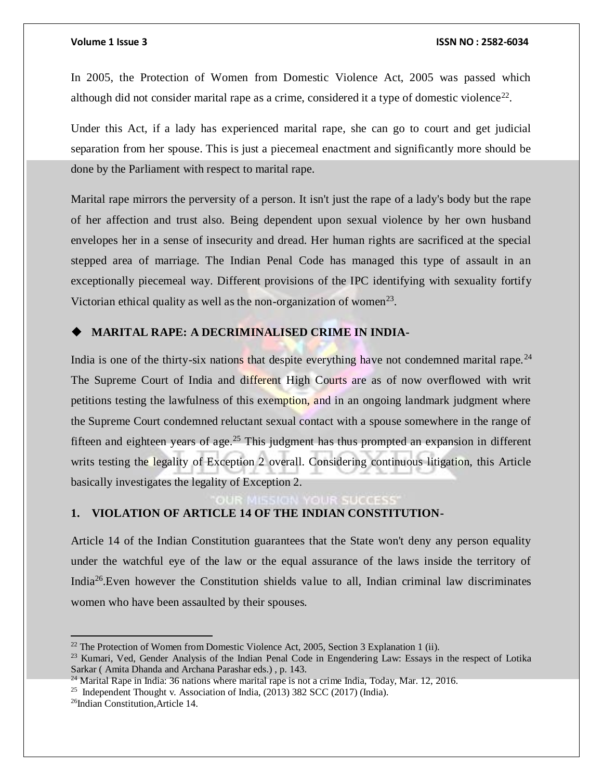In 2005, the Protection of Women from Domestic Violence Act, 2005 was passed which although did not consider marital rape as a crime, considered it a type of domestic violence<sup>22</sup>.

Under this Act, if a lady has experienced marital rape, she can go to court and get judicial separation from her spouse. This is just a piecemeal enactment and significantly more should be done by the Parliament with respect to marital rape.

Marital rape mirrors the perversity of a person. It isn't just the rape of a lady's body but the rape of her affection and trust also. Being dependent upon sexual violence by her own husband envelopes her in a sense of insecurity and dread. Her human rights are sacrificed at the special stepped area of marriage. The Indian Penal Code has managed this type of assault in an exceptionally piecemeal way. Different provisions of the IPC identifying with sexuality fortify Victorian ethical quality as well as the non-organization of women<sup>23</sup>.

## **MARITAL RAPE: A DECRIMINALISED CRIME IN INDIA-**

India is one of the thirty-six nations that despite everything have not condemned marital rape.<sup>24</sup> The Supreme Court of India and different High Courts are as of now overflowed with writ petitions testing the lawfulness of this exemption, and in an ongoing landmark judgment where the Supreme Court condemned reluctant sexual contact with a spouse somewhere in the range of fifteen and eighteen years of age.<sup>25</sup> This judgment has thus prompted an expansion in different writs testing the legality of Exception 2 overall. Considering continuous litigation, this Article basically investigates the legality of Exception 2.

## **1. VIOLATION OF ARTICLE 14 OF THE INDIAN CONSTITUTION-**

Article 14 of the Indian Constitution guarantees that the State won't deny any person equality under the watchful eye of the law or the equal assurance of the laws inside the territory of India<sup>26</sup>.Even however the Constitution shields value to all, Indian criminal law discriminates women who have been assaulted by their spouses.

<sup>&</sup>lt;sup>22</sup> The Protection of Women from Domestic Violence Act, 2005, Section 3 Explanation 1 (ii).

<sup>&</sup>lt;sup>23</sup> Kumari, Ved, Gender Analysis of the Indian Penal Code in Engendering Law: Essays in the respect of Lotika Sarkar ( Amita Dhanda and Archana Parashar eds.) , p. 143.

<sup>&</sup>lt;sup>24</sup> Marital Rape in India: 36 nations where marital rape is not a crime India, Today, Mar. 12, 2016.

<sup>&</sup>lt;sup>25</sup> Independent Thought v. Association of India, (2013) 382 SCC (2017) (India).

<sup>26</sup>Indian Constitution,Article 14.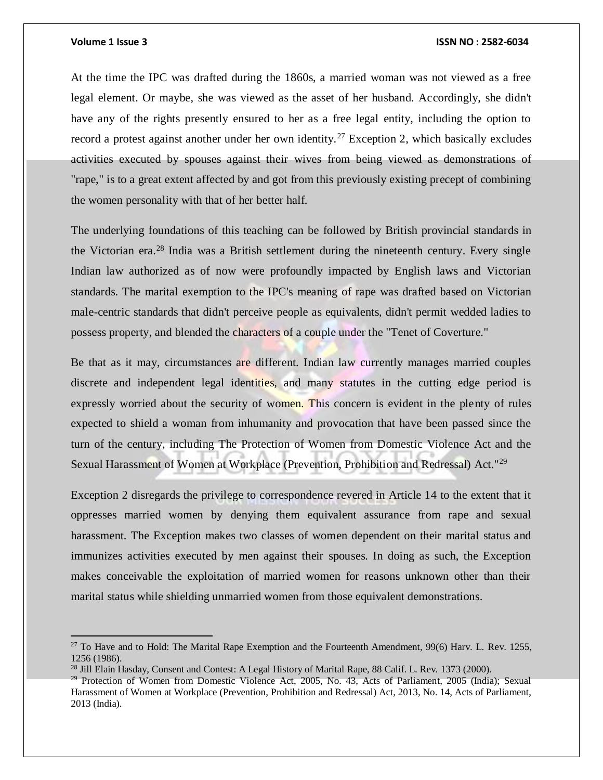### **Volume 1 Issue 3 ISSN NO : 2582-6034**

At the time the IPC was drafted during the 1860s, a married woman was not viewed as a free legal element. Or maybe, she was viewed as the asset of her husband. Accordingly, she didn't have any of the rights presently ensured to her as a free legal entity, including the option to record a protest against another under her own identity.<sup>27</sup> Exception 2, which basically excludes activities executed by spouses against their wives from being viewed as demonstrations of "rape," is to a great extent affected by and got from this previously existing precept of combining the women personality with that of her better half.

The underlying foundations of this teaching can be followed by British provincial standards in the Victorian era.<sup>28</sup> India was a British settlement during the nineteenth century. Every single Indian law authorized as of now were profoundly impacted by English laws and Victorian standards. The marital exemption to the IPC's meaning of rape was drafted based on Victorian male-centric standards that didn't perceive people as equivalents, didn't permit wedded ladies to possess property, and blended the characters of a couple under the "Tenet of Coverture."

Be that as it may, circumstances are different. Indian law currently manages married couples discrete and independent legal identities, and many statutes in the cutting edge period is expressly worried about the security of women. This concern is evident in the plenty of rules expected to shield a woman from inhumanity and provocation that have been passed since the turn of the century, including The Protection of Women from Domestic Violence Act and the Sexual Harassment of Women at Workplace (Prevention, Prohibition and Redressal) Act."<sup>29</sup>

Exception 2 disregards the privilege to correspondence revered in Article 14 to the extent that it oppresses married women by denying them equivalent assurance from rape and sexual harassment. The Exception makes two classes of women dependent on their marital status and immunizes activities executed by men against their spouses. In doing as such, the Exception makes conceivable the exploitation of married women for reasons unknown other than their marital status while shielding unmarried women from those equivalent demonstrations.

<sup>&</sup>lt;sup>27</sup> To Have and to Hold: The Marital Rape Exemption and the Fourteenth Amendment,  $99(6)$  Harv. L. Rev. 1255, 1256 (1986).

<sup>&</sup>lt;sup>28</sup> Jill Elain Hasday, Consent and Contest: A Legal History of Marital Rape, 88 Calif. L. Rev. 1373 (2000).

<sup>&</sup>lt;sup>29</sup> Protection of Women from Domestic Violence Act, 2005, No. 43, Acts of Parliament, 2005 (India); Sexual Harassment of Women at Workplace (Prevention, Prohibition and Redressal) Act, 2013, No. 14, Acts of Parliament, 2013 (India).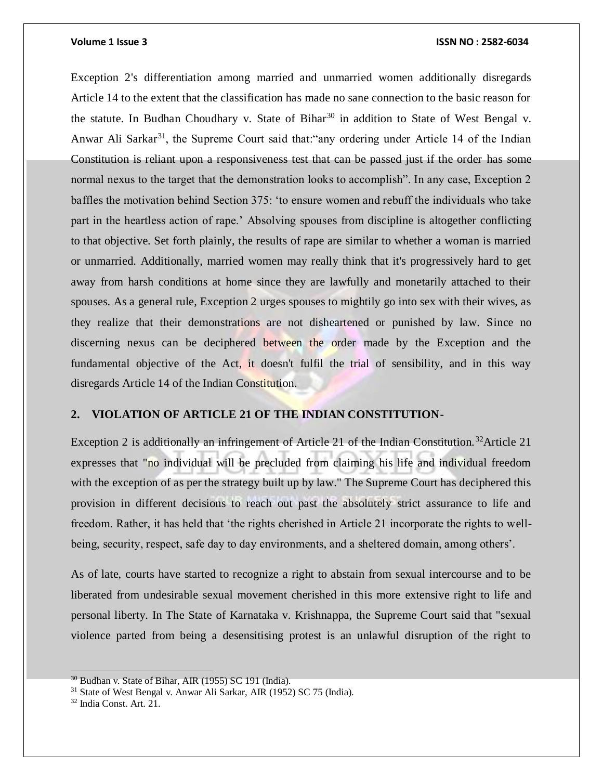Exception 2's differentiation among married and unmarried women additionally disregards Article 14 to the extent that the classification has made no sane connection to the basic reason for the statute. In Budhan Choudhary v. State of Bihar<sup>30</sup> in addition to State of West Bengal v. Anwar Ali Sarkar<sup>31</sup>, the Supreme Court said that: any ordering under Article 14 of the Indian Constitution is reliant upon a responsiveness test that can be passed just if the order has some normal nexus to the target that the demonstration looks to accomplish". In any case, Exception 2 baffles the motivation behind Section 375: 'to ensure women and rebuff the individuals who take part in the heartless action of rape.' Absolving spouses from discipline is altogether conflicting to that objective. Set forth plainly, the results of rape are similar to whether a woman is married or unmarried. Additionally, married women may really think that it's progressively hard to get away from harsh conditions at home since they are lawfully and monetarily attached to their spouses. As a general rule, Exception 2 urges spouses to mightily go into sex with their wives, as they realize that their demonstrations are not disheartened or punished by law. Since no discerning nexus can be deciphered between the order made by the Exception and the fundamental objective of the Act, it doesn't fulfil the trial of sensibility, and in this way disregards Article 14 of the Indian Constitution.

## **2. VIOLATION OF ARTICLE 21 OF THE INDIAN CONSTITUTION-**

Exception 2 is additionally an infringement of Article 21 of the Indian Constitution.<sup>32</sup>Article 21 expresses that "no individual will be precluded from claiming his life and individual freedom with the exception of as per the strategy built up by law." The Supreme Court has deciphered this provision in different decisions to reach out past the absolutely strict assurance to life and freedom. Rather, it has held that 'the rights cherished in Article 21 incorporate the rights to wellbeing, security, respect, safe day to day environments, and a sheltered domain, among others'.

As of late, courts have started to recognize a right to abstain from sexual intercourse and to be liberated from undesirable sexual movement cherished in this more extensive right to life and personal liberty. In The State of Karnataka v. Krishnappa, the Supreme Court said that "sexual violence parted from being a desensitising protest is an unlawful disruption of the right to

 $30$  Budhan v. State of Bihar, AIR (1955) SC 191 (India).

<sup>31</sup> State of West Bengal v. Anwar Ali Sarkar, AIR (1952) SC 75 (India).

<sup>32</sup> India Const. Art. 21.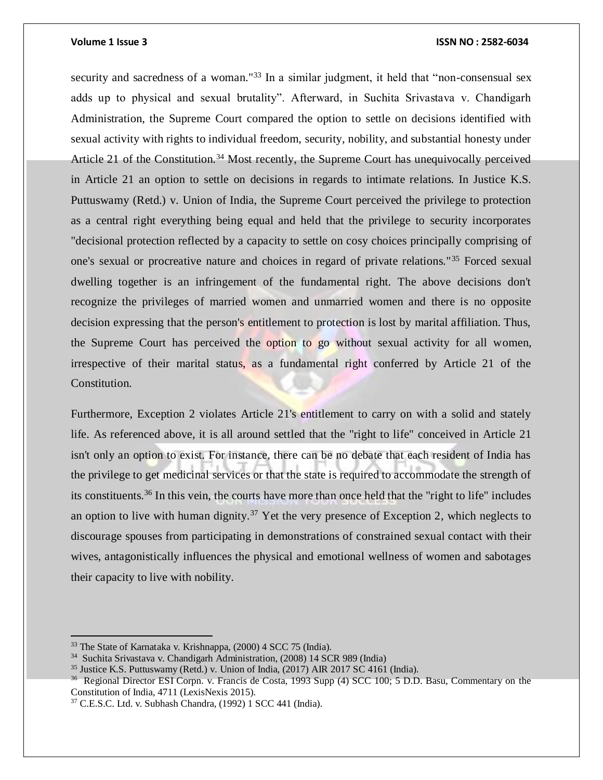security and sacredness of a woman."<sup>33</sup> In a similar judgment, it held that "non-consensual sex adds up to physical and sexual brutality". Afterward, in Suchita Srivastava v. Chandigarh Administration, the Supreme Court compared the option to settle on decisions identified with sexual activity with rights to individual freedom, security, nobility, and substantial honesty under Article 21 of the Constitution.<sup>34</sup> Most recently, the Supreme Court has unequivocally perceived in Article 21 an option to settle on decisions in regards to intimate relations. In Justice K.S. Puttuswamy (Retd.) v. Union of India, the Supreme Court perceived the privilege to protection as a central right everything being equal and held that the privilege to security incorporates "decisional protection reflected by a capacity to settle on cosy choices principally comprising of one's sexual or procreative nature and choices in regard of private relations."<sup>35</sup> Forced sexual dwelling together is an infringement of the fundamental right. The above decisions don't recognize the privileges of married women and unmarried women and there is no opposite decision expressing that the person's entitlement to protection is lost by marital affiliation. Thus, the Supreme Court has perceived the option to go without sexual activity for all women, irrespective of their marital status, as a fundamental right conferred by Article 21 of the Constitution.

Furthermore, Exception 2 violates Article 21's entitlement to carry on with a solid and stately life. As referenced above, it is all around settled that the "right to life" conceived in Article 21 isn't only an option to exist. For instance, there can be no debate that each resident of India has the privilege to get medicinal services or that the state is required to accommodate the strength of its constituents.<sup>36</sup> In this vein, the courts have more than once held that the "right to life" includes an option to live with human dignity.<sup>37</sup> Yet the very presence of Exception 2, which neglects to discourage spouses from participating in demonstrations of constrained sexual contact with their wives, antagonistically influences the physical and emotional wellness of women and sabotages their capacity to live with nobility.

<sup>33</sup> The State of Karnataka v. Krishnappa, (2000) 4 SCC 75 (India).

<sup>34</sup> Suchita Srivastava v. Chandigarh Administration, (2008) 14 SCR 989 (India)

<sup>35</sup> Justice K.S. Puttuswamy (Retd.) v. Union of India, (2017) AIR 2017 SC 4161 (India).

<sup>&</sup>lt;sup>36</sup> Regional Director ESI Corpn. v. Francis de Costa, 1993 Supp (4) SCC 100; 5 D.D. Basu, Commentary on the Constitution of India, 4711 (LexisNexis 2015).

<sup>37</sup> C.E.S.C. Ltd. v. Subhash Chandra, (1992) 1 SCC 441 (India).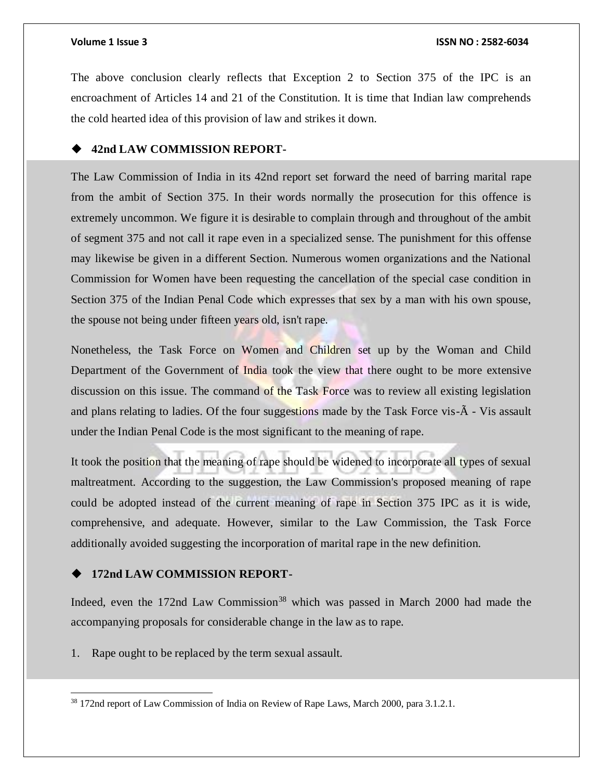The above conclusion clearly reflects that Exception 2 to Section 375 of the IPC is an encroachment of Articles 14 and 21 of the Constitution. It is time that Indian law comprehends the cold hearted idea of this provision of law and strikes it down.

## **42nd LAW COMMISSION REPORT-**

The Law Commission of India in its 42nd report set forward the need of barring marital rape from the ambit of Section 375. In their words normally the prosecution for this offence is extremely uncommon. We figure it is desirable to complain through and throughout of the ambit of segment 375 and not call it rape even in a specialized sense. The punishment for this offense may likewise be given in a different Section. Numerous women organizations and the National Commission for Women have been requesting the cancellation of the special case condition in Section 375 of the Indian Penal Code which expresses that sex by a man with his own spouse, the spouse not being under fifteen years old, isn't rape.

Nonetheless, the Task Force on Women and Children set up by the Woman and Child Department of the Government of India took the view that there ought to be more extensive discussion on this issue. The command of the Task Force was to review all existing legislation and plans relating to ladies. Of the four suggestions made by the Task Force vis-Ã - Vis assault under the Indian Penal Code is the most significant to the meaning of rape.

It took the position that the meaning of rape should be widened to incorporate all types of sexual maltreatment. According to the suggestion, the Law Commission's proposed meaning of rape could be adopted instead of the current meaning of rape in Section 375 IPC as it is wide, comprehensive, and adequate. However, similar to the Law Commission, the Task Force additionally avoided suggesting the incorporation of marital rape in the new definition.

## **172nd LAW COMMISSION REPORT-**

 $\overline{\phantom{a}}$ 

Indeed, even the 172nd Law Commission<sup>38</sup> which was passed in March 2000 had made the accompanying proposals for considerable change in the law as to rape.

1. Rape ought to be replaced by the term sexual assault.

<sup>38</sup> 172nd report of Law Commission of India on Review of Rape Laws, March 2000, para 3.1.2.1.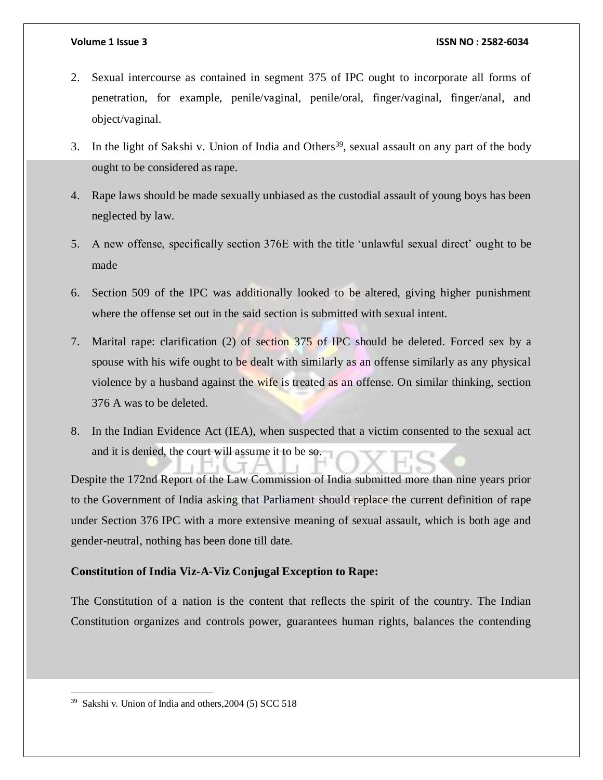- 2. Sexual intercourse as contained in segment 375 of IPC ought to incorporate all forms of penetration, for example, penile/vaginal, penile/oral, finger/vaginal, finger/anal, and object/vaginal.
- 3. In the light of Sakshi v. Union of India and Others<sup>39</sup>, sexual assault on any part of the body ought to be considered as rape.
- 4. Rape laws should be made sexually unbiased as the custodial assault of young boys has been neglected by law.
- 5. A new offense, specifically section 376E with the title 'unlawful sexual direct' ought to be made
- 6. Section 509 of the IPC was additionally looked to be altered, giving higher punishment where the offense set out in the said section is submitted with sexual intent.
- 7. Marital rape: clarification (2) of section 375 of IPC should be deleted. Forced sex by a spouse with his wife ought to be dealt with similarly as an offense similarly as any physical violence by a husband against the wife is treated as an offense. On similar thinking, section 376 A was to be deleted.
- 8. In the Indian Evidence Act (IEA), when suspected that a victim consented to the sexual act and it is denied, the court will assume it to be so.

Despite the 172nd Report of the Law Commission of India submitted more than nine years prior to the Government of India asking that Parliament should replace the current definition of rape under Section 376 IPC with a more extensive meaning of sexual assault, which is both age and gender-neutral, nothing has been done till date.

## **Constitution of India Viz-A-Viz Conjugal Exception to Rape:**

The Constitution of a nation is the content that reflects the spirit of the country. The Indian Constitution organizes and controls power, guarantees human rights, balances the contending

 $\overline{\phantom{a}}$ 

<sup>39</sup> Sakshi v. Union of India and others,2004 (5) SCC 518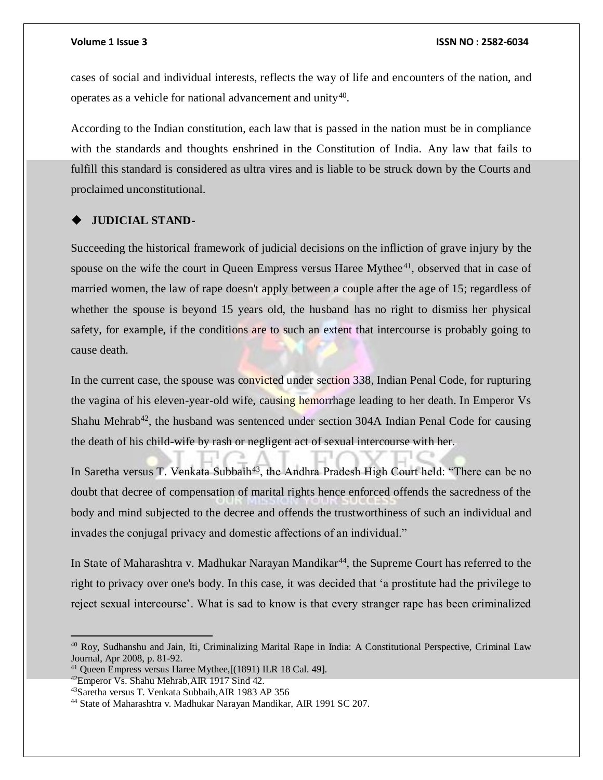cases of social and individual interests, reflects the way of life and encounters of the nation, and operates as a vehicle for national advancement and unity<sup>40</sup>.

According to the Indian constitution, each law that is passed in the nation must be in compliance with the standards and thoughts enshrined in the Constitution of India. Any law that fails to fulfill this standard is considered as ultra vires and is liable to be struck down by the Courts and proclaimed unconstitutional.

## **JUDICIAL STAND-**

Succeeding the historical framework of judicial decisions on the infliction of grave injury by the spouse on the wife the court in Queen Empress versus Haree Mythee $41$ , observed that in case of married women, the law of rape doesn't apply between a couple after the age of 15; regardless of whether the spouse is beyond 15 years old, the husband has no right to dismiss her physical safety, for example, if the conditions are to such an extent that intercourse is probably going to cause death.

In the current case, the spouse was convicted under section 338, Indian Penal Code, for rupturing the vagina of his eleven-year-old wife, causing hemorrhage leading to her death. In Emperor Vs Shahu Mehrab<sup>42</sup>, the husband was sentenced under section  $304A$  Indian Penal Code for causing the death of his child-wife by rash or negligent act of sexual intercourse with her.

In Saretha versus T. Venkata Subbaih<sup>43</sup>, the Andhra Pradesh High Court held: "There can be no doubt that decree of compensation of marital rights hence enforced offends the sacredness of the body and mind subjected to the decree and offends the trustworthiness of such an individual and invades the conjugal privacy and domestic affections of an individual."

In State of Maharashtra v. Madhukar Narayan Mandikar<sup>44</sup>, the Supreme Court has referred to the right to privacy over one's body. In this case, it was decided that 'a prostitute had the privilege to reject sexual intercourse'. What is sad to know is that every stranger rape has been criminalized

 $42$ Emperor Vs. Shahu Mehrab, AIR 1917 Sind 42.

<sup>40</sup> Roy, Sudhanshu and Jain, Iti, Criminalizing Marital Rape in India: A Constitutional Perspective, Criminal Law Journal, Apr 2008, p. 81-92.

<sup>&</sup>lt;sup>41</sup> Queen Empress versus Haree Mythee,  $[(1891)$  ILR 18 Cal. 49].

<sup>43</sup>Saretha versus T. Venkata Subbaih,AIR 1983 AP 356

<sup>44</sup> State of Maharashtra v. Madhukar Narayan Mandikar, AIR 1991 SC 207.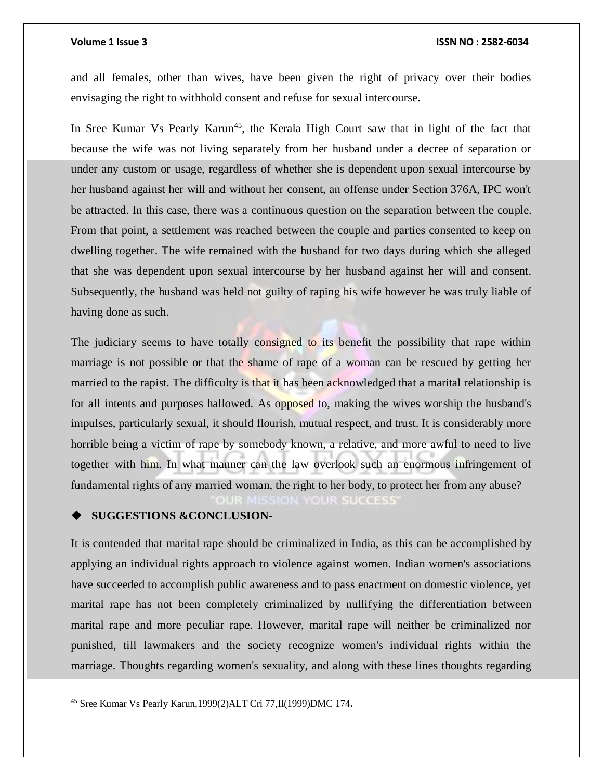and all females, other than wives, have been given the right of privacy over their bodies envisaging the right to withhold consent and refuse for sexual intercourse.

In Sree Kumar Vs Pearly Karun<sup>45</sup>, the Kerala High Court saw that in light of the fact that because the wife was not living separately from her husband under a decree of separation or under any custom or usage, regardless of whether she is dependent upon sexual intercourse by her husband against her will and without her consent, an offense under Section 376A, IPC won't be attracted. In this case, there was a continuous question on the separation between the couple. From that point, a settlement was reached between the couple and parties consented to keep on dwelling together. The wife remained with the husband for two days during which she alleged that she was dependent upon sexual intercourse by her husband against her will and consent. Subsequently, the husband was held not guilty of raping his wife however he was truly liable of having done as such.

The judiciary seems to have totally consigned to its benefit the possibility that rape within marriage is not possible or that the shame of rape of a woman can be rescued by getting her married to the rapist. The difficulty is that it has been acknowledged that a marital relationship is for all intents and purposes hallowed. As opposed to, making the wives worship the husband's impulses, particularly sexual, it should flourish, mutual respect, and trust. It is considerably more horrible being a victim of rape by somebody known, a relative, and more awful to need to live together with him. In what manner can the law overlook such an enormous infringement of fundamental rights of any married woman, the right to her body, to protect her from any abuse?

## **SUGGESTIONS &CONCLUSION-**

 $\overline{\phantom{a}}$ 

It is contended that marital rape should be criminalized in India, as this can be accomplished by applying an individual rights approach to violence against women. Indian women's associations have succeeded to accomplish public awareness and to pass enactment on domestic violence, yet marital rape has not been completely criminalized by nullifying the differentiation between marital rape and more peculiar rape. However, marital rape will neither be criminalized nor punished, till lawmakers and the society recognize women's individual rights within the marriage. Thoughts regarding women's sexuality, and along with these lines thoughts regarding

<sup>45</sup> Sree Kumar Vs Pearly Karun,1999(2)ALT Cri 77,II(1999)DMC 174**.**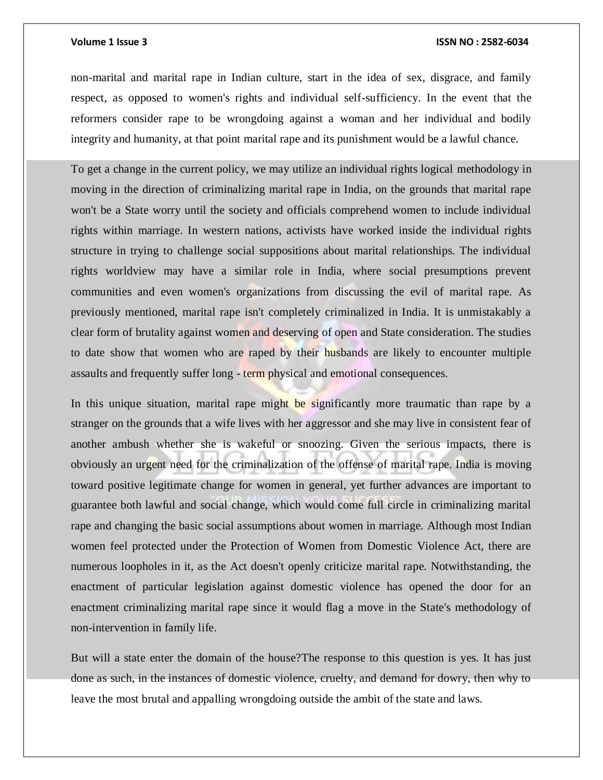non-marital and marital rape in Indian culture, start in the idea of sex, disgrace, and family respect, as opposed to women's rights and individual self-sufficiency. In the event that the reformers consider rape to be wrongdoing against a woman and her individual and bodily integrity and humanity, at that point marital rape and its punishment would be a lawful chance.

To get a change in the current policy, we may utilize an individual rights logical methodology in moving in the direction of criminalizing marital rape in India, on the grounds that marital rape won't be a State worry until the society and officials comprehend women to include individual rights within marriage. In western nations, activists have worked inside the individual rights structure in trying to challenge social suppositions about marital relationships. The individual rights worldview may have a similar role in India, where social presumptions prevent communities and even women's organizations from discussing the evil of marital rape. As previously mentioned, marital rape isn't completely criminalized in India. It is unmistakably a clear form of brutality against women and deserving of open and State consideration. The studies to date show that women who are raped by their husbands are likely to encounter multiple assaults and frequently suffer long - term physical and emotional consequences.

In this unique situation, marital rape might be significantly more traumatic than rape by a stranger on the grounds that a wife lives with her aggressor and she may live in consistent fear of another ambush whether she is wakeful or snoozing. Given the serious impacts, there is obviously an urgent need for the criminalization of the offense of marital rape. India is moving toward positive legitimate change for women in general, yet further advances are important to guarantee both lawful and social change, which would come full circle in criminalizing marital rape and changing the basic social assumptions about women in marriage. Although most Indian women feel protected under the Protection of Women from Domestic Violence Act, there are numerous loopholes in it, as the Act doesn't openly criticize marital rape. Notwithstanding, the enactment of particular legislation against domestic violence has opened the door for an enactment criminalizing marital rape since it would flag a move in the State's methodology of non-intervention in family life.

But will a state enter the domain of the house?The response to this question is yes. It has just done as such, in the instances of domestic violence, cruelty, and demand for dowry, then why to leave the most brutal and appalling wrongdoing outside the ambit of the state and laws.